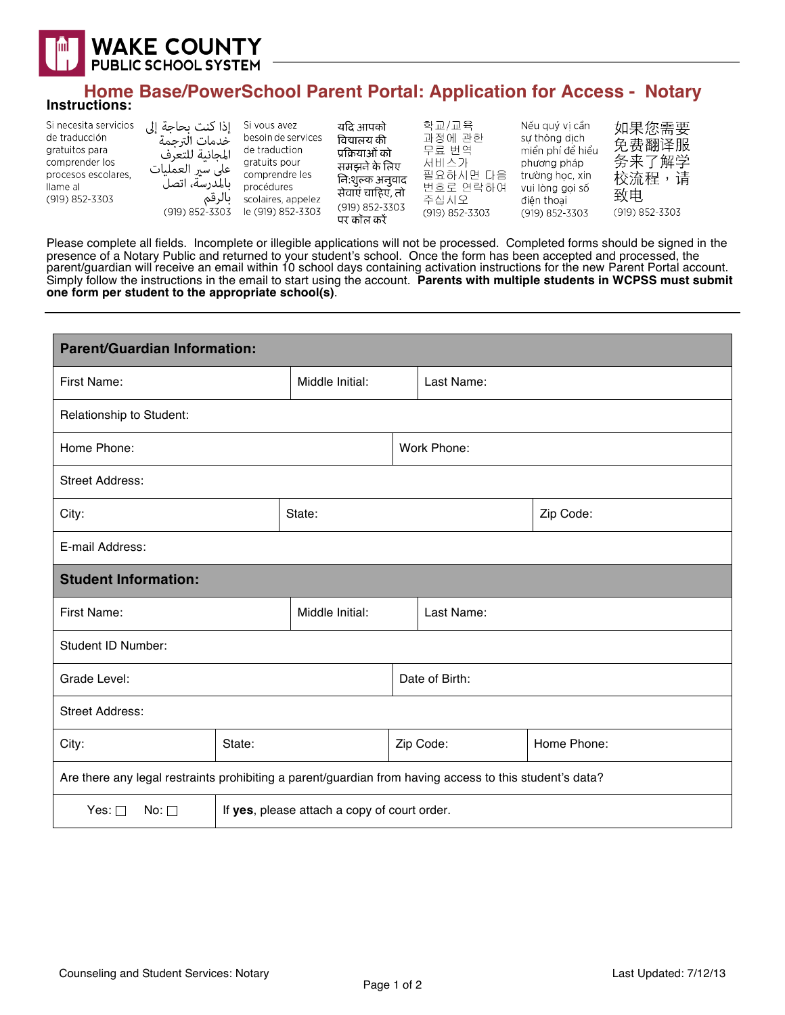

## **Home Base/PowerSchool Parent Portal: Application for Access - Notary Instructions:**

| Si necesita servicios<br>de traducción<br>gratuitos para<br>comprender los<br>procesos escolares.<br>llame al<br>(919) 852-3303 | إذا كنت بحاجة إلى<br>خدمات الترحمة<br>المجانبة للتعرف<br>على سير العمليات<br>بالمدرسة، اتصل<br>بالرقم<br>(919) 852-3303 | Si vous avez<br>besoin de services<br>de traduction<br>gratuits pour<br>comprendre les<br>procédures<br>scolaires, appelez<br>le (919) 852-3303 | यदि आपको<br>विद्यालय की<br>प्रक्रियाओं को<br>समझने के लिए<br>नि:शुल्क अनुवाद<br>सेवाएं चाहिए, तो<br>(919) 852-3303<br>पर कॉल करें | 학교/교육<br>과정에 관한<br>무료 번역<br>서비스가<br>필요하시면 다음<br>번호로 연락하여<br>주십시오<br>(919) 852-3303 | Nếu quý vi cần<br>sư thông dịch<br>miền phí để hiểu<br>phương pháp<br>trường học, xin<br>vui lòng goi số<br>điên thoai<br>(919) 852-3303 | 如果您需要<br>免费翻译服<br>务来了解学<br>校流程,<br>请<br>致电<br>(919) 852-3303 |
|---------------------------------------------------------------------------------------------------------------------------------|-------------------------------------------------------------------------------------------------------------------------|-------------------------------------------------------------------------------------------------------------------------------------------------|-----------------------------------------------------------------------------------------------------------------------------------|------------------------------------------------------------------------------------|------------------------------------------------------------------------------------------------------------------------------------------|--------------------------------------------------------------|
|---------------------------------------------------------------------------------------------------------------------------------|-------------------------------------------------------------------------------------------------------------------------|-------------------------------------------------------------------------------------------------------------------------------------------------|-----------------------------------------------------------------------------------------------------------------------------------|------------------------------------------------------------------------------------|------------------------------------------------------------------------------------------------------------------------------------------|--------------------------------------------------------------|

Please complete all fields. Incomplete or illegible applications will not be processed. Completed forms should be signed in the presence of a Notary Public and returned to your student's school. Once the form has been accepted and processed, the parent/guardian will receive an email within 10 school days containing activation instructions for the new Parent Portal account. Simply follow the instructions in the email to start using the account. **Parents with multiple students in WCPSS must submit one form per student to the appropriate school(s)**.

| <b>Parent/Guardian Information:</b>                                                                     |                                              |                 |  |                |             |  |  |
|---------------------------------------------------------------------------------------------------------|----------------------------------------------|-----------------|--|----------------|-------------|--|--|
| First Name:                                                                                             |                                              | Middle Initial: |  | Last Name:     |             |  |  |
| Relationship to Student:                                                                                |                                              |                 |  |                |             |  |  |
| Home Phone:                                                                                             |                                              |                 |  | Work Phone:    |             |  |  |
| <b>Street Address:</b>                                                                                  |                                              |                 |  |                |             |  |  |
| City:                                                                                                   |                                              | State:          |  |                | Zip Code:   |  |  |
| E-mail Address:                                                                                         |                                              |                 |  |                |             |  |  |
| <b>Student Information:</b>                                                                             |                                              |                 |  |                |             |  |  |
| First Name:                                                                                             |                                              | Middle Initial: |  | Last Name:     |             |  |  |
| Student ID Number:                                                                                      |                                              |                 |  |                |             |  |  |
| Grade Level:                                                                                            |                                              |                 |  | Date of Birth: |             |  |  |
| <b>Street Address:</b>                                                                                  |                                              |                 |  |                |             |  |  |
| State:<br>City:                                                                                         |                                              |                 |  | Zip Code:      | Home Phone: |  |  |
| Are there any legal restraints prohibiting a parent/guardian from having access to this student's data? |                                              |                 |  |                |             |  |  |
| Yes: $\square$<br>No: $\square$                                                                         | If yes, please attach a copy of court order. |                 |  |                |             |  |  |